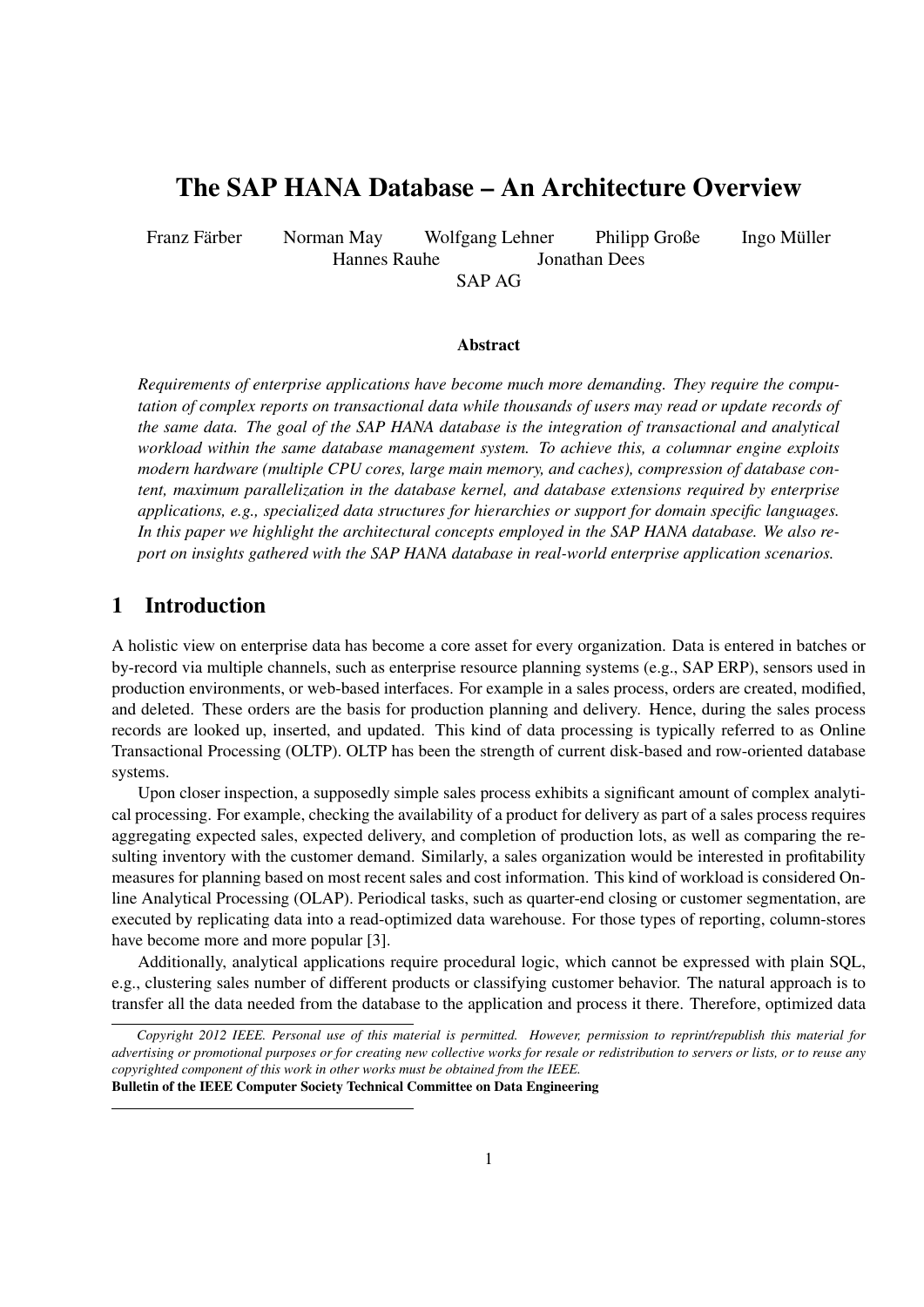# The SAP HANA Database – An Architecture Overview

Franz Färber Norman May Wolfgang Lehner Philipp Große Ingo Müller Hannes Rauhe Jonathan Dees

SAP AG

#### Abstract

*Requirements of enterprise applications have become much more demanding. They require the computation of complex reports on transactional data while thousands of users may read or update records of the same data. The goal of the SAP HANA database is the integration of transactional and analytical workload within the same database management system. To achieve this, a columnar engine exploits modern hardware (multiple CPU cores, large main memory, and caches), compression of database content, maximum parallelization in the database kernel, and database extensions required by enterprise applications, e.g., specialized data structures for hierarchies or support for domain specific languages. In this paper we highlight the architectural concepts employed in the SAP HANA database. We also report on insights gathered with the SAP HANA database in real-world enterprise application scenarios.*

#### 1 Introduction

A holistic view on enterprise data has become a core asset for every organization. Data is entered in batches or by-record via multiple channels, such as enterprise resource planning systems (e.g., SAP ERP), sensors used in production environments, or web-based interfaces. For example in a sales process, orders are created, modified, and deleted. These orders are the basis for production planning and delivery. Hence, during the sales process records are looked up, inserted, and updated. This kind of data processing is typically referred to as Online Transactional Processing (OLTP). OLTP has been the strength of current disk-based and row-oriented database systems.

Upon closer inspection, a supposedly simple sales process exhibits a significant amount of complex analytical processing. For example, checking the availability of a product for delivery as part of a sales process requires aggregating expected sales, expected delivery, and completion of production lots, as well as comparing the resulting inventory with the customer demand. Similarly, a sales organization would be interested in profitability measures for planning based on most recent sales and cost information. This kind of workload is considered Online Analytical Processing (OLAP). Periodical tasks, such as quarter-end closing or customer segmentation, are executed by replicating data into a read-optimized data warehouse. For those types of reporting, column-stores have become more and more popular [3].

Additionally, analytical applications require procedural logic, which cannot be expressed with plain SQL, e.g., clustering sales number of different products or classifying customer behavior. The natural approach is to transfer all the data needed from the database to the application and process it there. Therefore, optimized data

*Copyright 2012 IEEE. Personal use of this material is permitted. However, permission to reprint/republish this material for advertising or promotional purposes or for creating new collective works for resale or redistribution to servers or lists, or to reuse any copyrighted component of this work in other works must be obtained from the IEEE.* Bulletin of the IEEE Computer Society Technical Committee on Data Engineering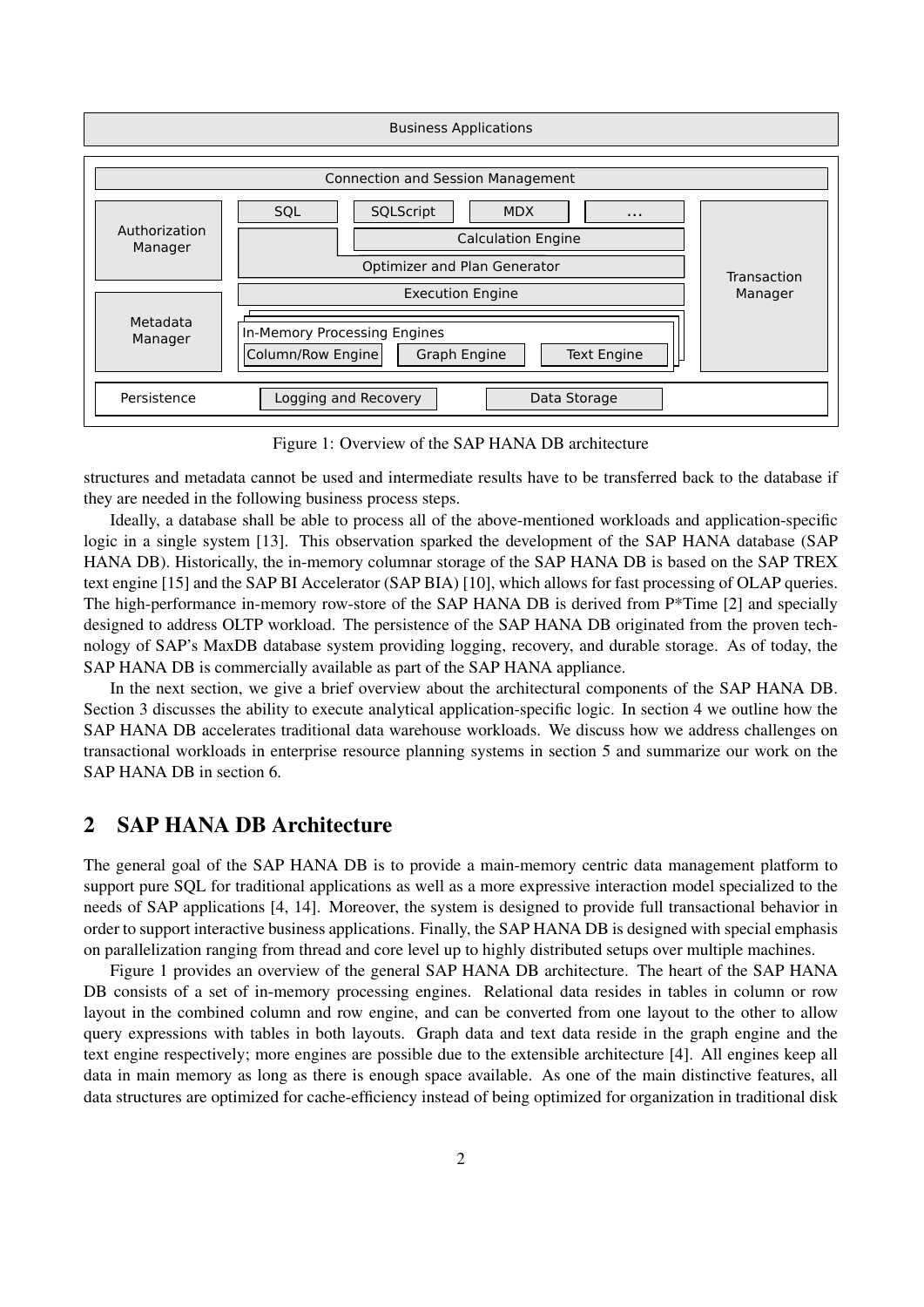

Figure 1: Overview of the SAP HANA DB architecture

structures and metadata cannot be used and intermediate results have to be transferred back to the database if they are needed in the following business process steps.

Ideally, a database shall be able to process all of the above-mentioned workloads and application-specific logic in a single system [13]. This observation sparked the development of the SAP HANA database (SAP HANA DB). Historically, the in-memory columnar storage of the SAP HANA DB is based on the SAP TREX text engine [15] and the SAP BI Accelerator (SAP BIA) [10], which allows for fast processing of OLAP queries. The high-performance in-memory row-store of the SAP HANA DB is derived from P\*Time [2] and specially designed to address OLTP workload. The persistence of the SAP HANA DB originated from the proven technology of SAP's MaxDB database system providing logging, recovery, and durable storage. As of today, the SAP HANA DB is commercially available as part of the SAP HANA appliance.

In the next section, we give a brief overview about the architectural components of the SAP HANA DB. Section 3 discusses the ability to execute analytical application-specific logic. In section 4 we outline how the SAP HANA DB accelerates traditional data warehouse workloads. We discuss how we address challenges on transactional workloads in enterprise resource planning systems in section 5 and summarize our work on the SAP HANA DB in section 6.

# 2 SAP HANA DB Architecture

The general goal of the SAP HANA DB is to provide a main-memory centric data management platform to support pure SQL for traditional applications as well as a more expressive interaction model specialized to the needs of SAP applications [4, 14]. Moreover, the system is designed to provide full transactional behavior in order to support interactive business applications. Finally, the SAP HANA DB is designed with special emphasis on parallelization ranging from thread and core level up to highly distributed setups over multiple machines.

Figure 1 provides an overview of the general SAP HANA DB architecture. The heart of the SAP HANA DB consists of a set of in-memory processing engines. Relational data resides in tables in column or row layout in the combined column and row engine, and can be converted from one layout to the other to allow query expressions with tables in both layouts. Graph data and text data reside in the graph engine and the text engine respectively; more engines are possible due to the extensible architecture [4]. All engines keep all data in main memory as long as there is enough space available. As one of the main distinctive features, all data structures are optimized for cache-efficiency instead of being optimized for organization in traditional disk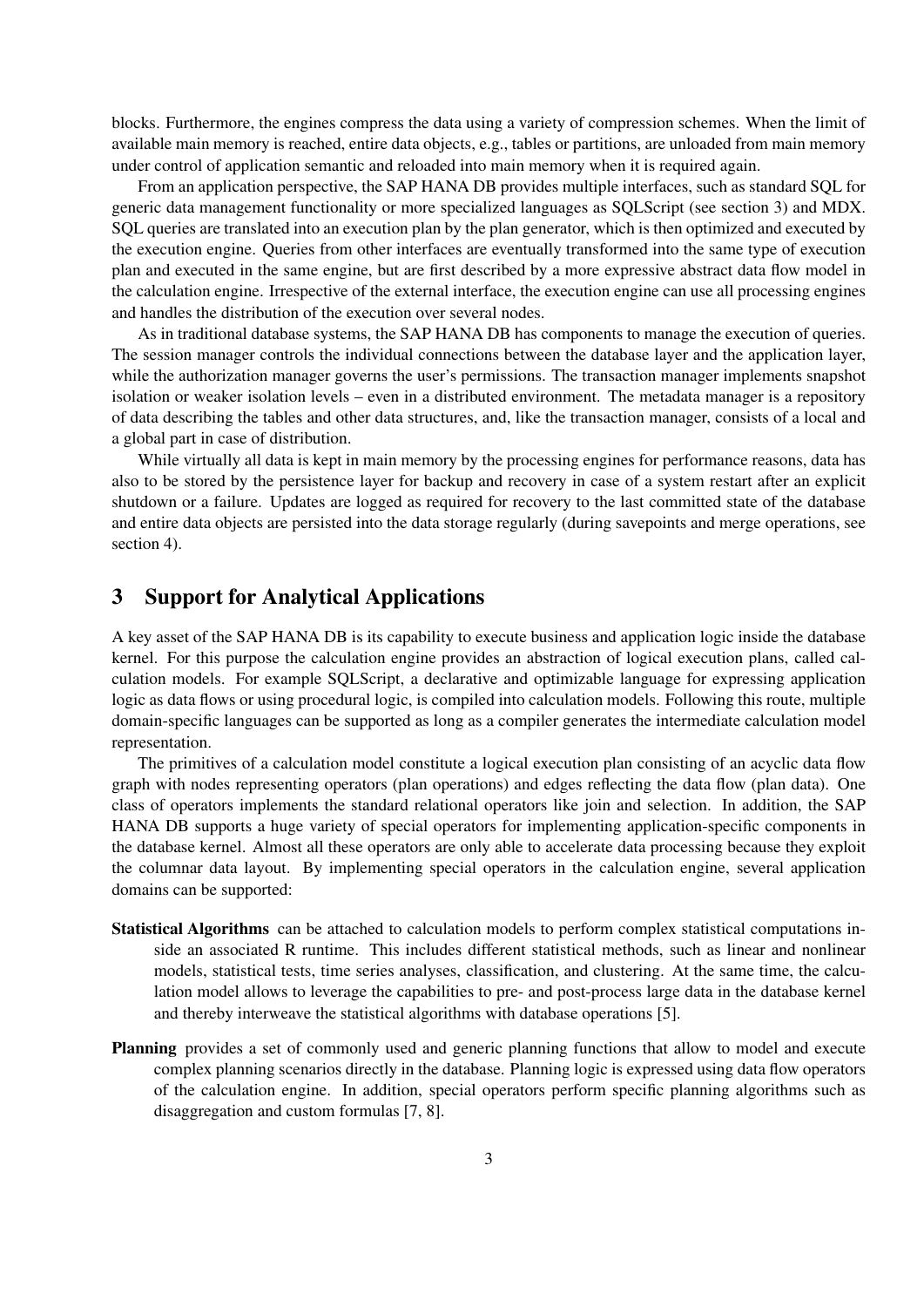blocks. Furthermore, the engines compress the data using a variety of compression schemes. When the limit of available main memory is reached, entire data objects, e.g., tables or partitions, are unloaded from main memory under control of application semantic and reloaded into main memory when it is required again.

From an application perspective, the SAP HANA DB provides multiple interfaces, such as standard SQL for generic data management functionality or more specialized languages as SQLScript (see section 3) and MDX. SQL queries are translated into an execution plan by the plan generator, which is then optimized and executed by the execution engine. Queries from other interfaces are eventually transformed into the same type of execution plan and executed in the same engine, but are first described by a more expressive abstract data flow model in the calculation engine. Irrespective of the external interface, the execution engine can use all processing engines and handles the distribution of the execution over several nodes.

As in traditional database systems, the SAP HANA DB has components to manage the execution of queries. The session manager controls the individual connections between the database layer and the application layer, while the authorization manager governs the user's permissions. The transaction manager implements snapshot isolation or weaker isolation levels – even in a distributed environment. The metadata manager is a repository of data describing the tables and other data structures, and, like the transaction manager, consists of a local and a global part in case of distribution.

While virtually all data is kept in main memory by the processing engines for performance reasons, data has also to be stored by the persistence layer for backup and recovery in case of a system restart after an explicit shutdown or a failure. Updates are logged as required for recovery to the last committed state of the database and entire data objects are persisted into the data storage regularly (during savepoints and merge operations, see section 4).

### 3 Support for Analytical Applications

A key asset of the SAP HANA DB is its capability to execute business and application logic inside the database kernel. For this purpose the calculation engine provides an abstraction of logical execution plans, called calculation models. For example SQLScript, a declarative and optimizable language for expressing application logic as data flows or using procedural logic, is compiled into calculation models. Following this route, multiple domain-specific languages can be supported as long as a compiler generates the intermediate calculation model representation.

The primitives of a calculation model constitute a logical execution plan consisting of an acyclic data flow graph with nodes representing operators (plan operations) and edges reflecting the data flow (plan data). One class of operators implements the standard relational operators like join and selection. In addition, the SAP HANA DB supports a huge variety of special operators for implementing application-specific components in the database kernel. Almost all these operators are only able to accelerate data processing because they exploit the columnar data layout. By implementing special operators in the calculation engine, several application domains can be supported:

- Statistical Algorithms can be attached to calculation models to perform complex statistical computations inside an associated R runtime. This includes different statistical methods, such as linear and nonlinear models, statistical tests, time series analyses, classification, and clustering. At the same time, the calculation model allows to leverage the capabilities to pre- and post-process large data in the database kernel and thereby interweave the statistical algorithms with database operations [5].
- Planning provides a set of commonly used and generic planning functions that allow to model and execute complex planning scenarios directly in the database. Planning logic is expressed using data flow operators of the calculation engine. In addition, special operators perform specific planning algorithms such as disaggregation and custom formulas [7, 8].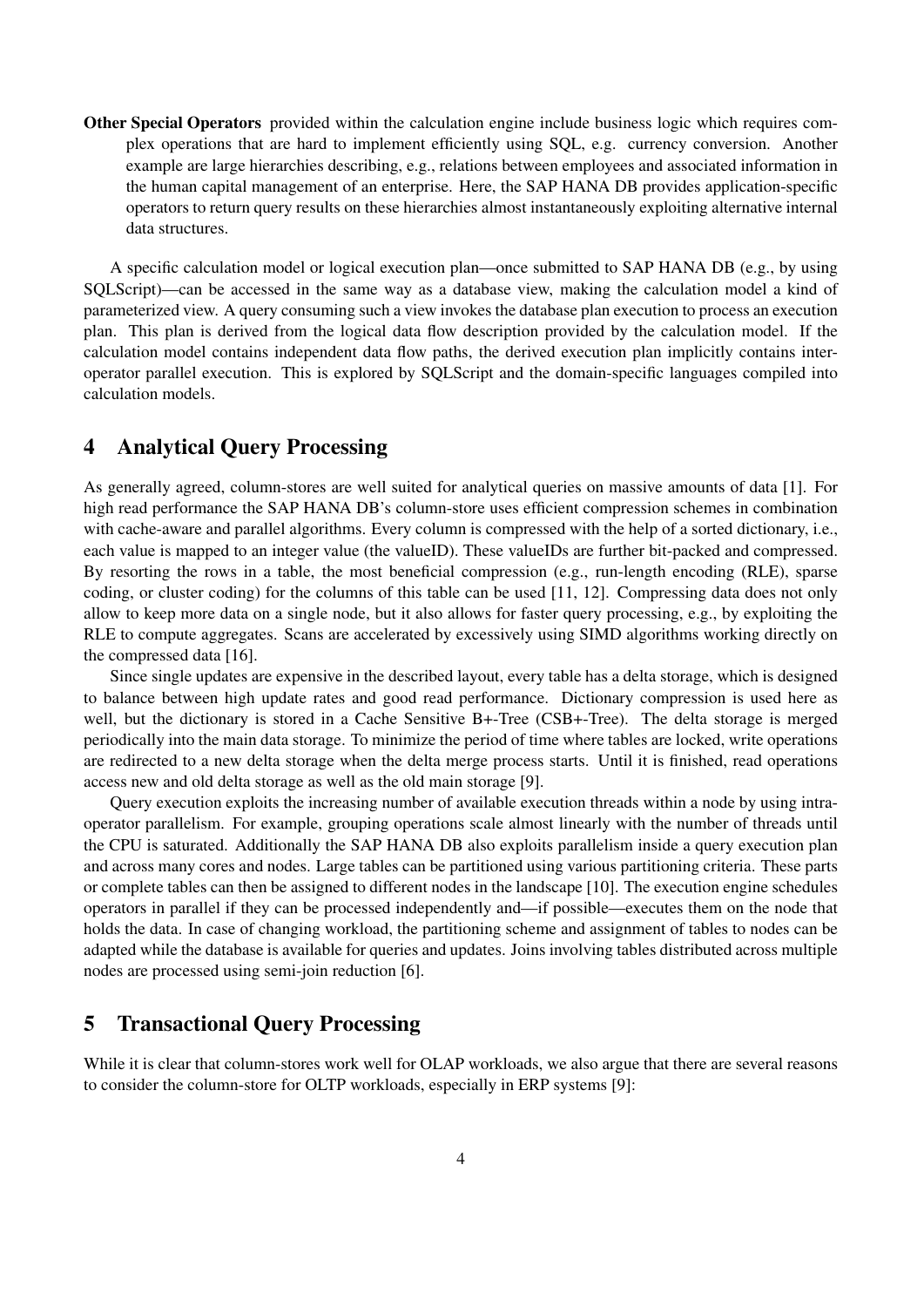Other Special Operators provided within the calculation engine include business logic which requires complex operations that are hard to implement efficiently using SQL, e.g. currency conversion. Another example are large hierarchies describing, e.g., relations between employees and associated information in the human capital management of an enterprise. Here, the SAP HANA DB provides application-specific operators to return query results on these hierarchies almost instantaneously exploiting alternative internal data structures.

A specific calculation model or logical execution plan—once submitted to SAP HANA DB (e.g., by using SQLScript)—can be accessed in the same way as a database view, making the calculation model a kind of parameterized view. A query consuming such a view invokes the database plan execution to process an execution plan. This plan is derived from the logical data flow description provided by the calculation model. If the calculation model contains independent data flow paths, the derived execution plan implicitly contains interoperator parallel execution. This is explored by SQLScript and the domain-specific languages compiled into calculation models.

### 4 Analytical Query Processing

As generally agreed, column-stores are well suited for analytical queries on massive amounts of data [1]. For high read performance the SAP HANA DB's column-store uses efficient compression schemes in combination with cache-aware and parallel algorithms. Every column is compressed with the help of a sorted dictionary, i.e., each value is mapped to an integer value (the valueID). These valueIDs are further bit-packed and compressed. By resorting the rows in a table, the most beneficial compression (e.g., run-length encoding (RLE), sparse coding, or cluster coding) for the columns of this table can be used [11, 12]. Compressing data does not only allow to keep more data on a single node, but it also allows for faster query processing, e.g., by exploiting the RLE to compute aggregates. Scans are accelerated by excessively using SIMD algorithms working directly on the compressed data [16].

Since single updates are expensive in the described layout, every table has a delta storage, which is designed to balance between high update rates and good read performance. Dictionary compression is used here as well, but the dictionary is stored in a Cache Sensitive B+-Tree (CSB+-Tree). The delta storage is merged periodically into the main data storage. To minimize the period of time where tables are locked, write operations are redirected to a new delta storage when the delta merge process starts. Until it is finished, read operations access new and old delta storage as well as the old main storage [9].

Query execution exploits the increasing number of available execution threads within a node by using intraoperator parallelism. For example, grouping operations scale almost linearly with the number of threads until the CPU is saturated. Additionally the SAP HANA DB also exploits parallelism inside a query execution plan and across many cores and nodes. Large tables can be partitioned using various partitioning criteria. These parts or complete tables can then be assigned to different nodes in the landscape [10]. The execution engine schedules operators in parallel if they can be processed independently and—if possible—executes them on the node that holds the data. In case of changing workload, the partitioning scheme and assignment of tables to nodes can be adapted while the database is available for queries and updates. Joins involving tables distributed across multiple nodes are processed using semi-join reduction [6].

#### 5 Transactional Query Processing

While it is clear that column-stores work well for OLAP workloads, we also argue that there are several reasons to consider the column-store for OLTP workloads, especially in ERP systems [9]: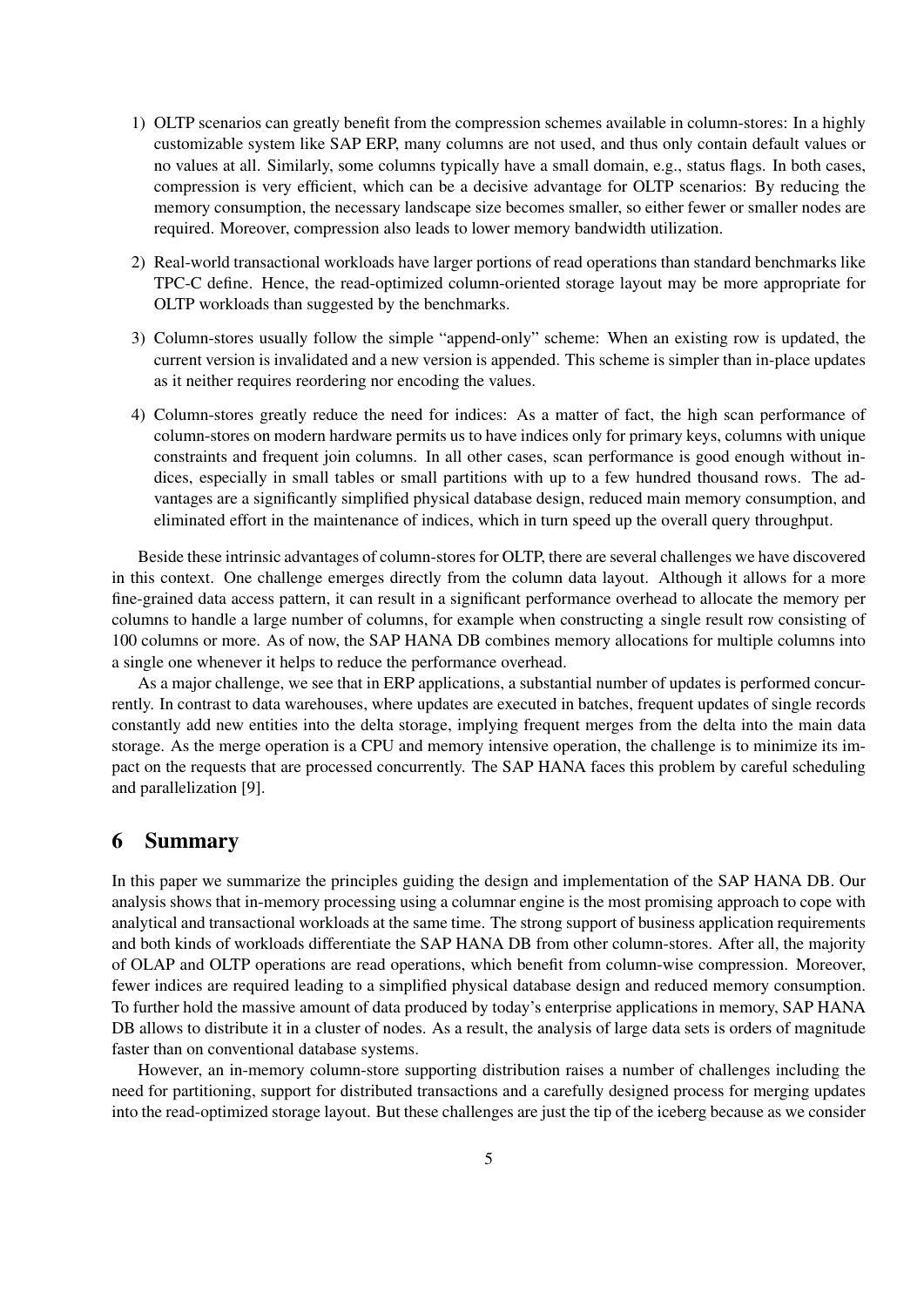- 1) OLTP scenarios can greatly benefit from the compression schemes available in column-stores: In a highly customizable system like SAP ERP, many columns are not used, and thus only contain default values or no values at all. Similarly, some columns typically have a small domain, e.g., status flags. In both cases, compression is very efficient, which can be a decisive advantage for OLTP scenarios: By reducing the memory consumption, the necessary landscape size becomes smaller, so either fewer or smaller nodes are required. Moreover, compression also leads to lower memory bandwidth utilization.
- 2) Real-world transactional workloads have larger portions of read operations than standard benchmarks like TPC-C define. Hence, the read-optimized column-oriented storage layout may be more appropriate for OLTP workloads than suggested by the benchmarks.
- 3) Column-stores usually follow the simple "append-only" scheme: When an existing row is updated, the current version is invalidated and a new version is appended. This scheme is simpler than in-place updates as it neither requires reordering nor encoding the values.
- 4) Column-stores greatly reduce the need for indices: As a matter of fact, the high scan performance of column-stores on modern hardware permits us to have indices only for primary keys, columns with unique constraints and frequent join columns. In all other cases, scan performance is good enough without indices, especially in small tables or small partitions with up to a few hundred thousand rows. The advantages are a significantly simplified physical database design, reduced main memory consumption, and eliminated effort in the maintenance of indices, which in turn speed up the overall query throughput.

Beside these intrinsic advantages of column-stores for OLTP, there are several challenges we have discovered in this context. One challenge emerges directly from the column data layout. Although it allows for a more fine-grained data access pattern, it can result in a significant performance overhead to allocate the memory per columns to handle a large number of columns, for example when constructing a single result row consisting of 100 columns or more. As of now, the SAP HANA DB combines memory allocations for multiple columns into a single one whenever it helps to reduce the performance overhead.

As a major challenge, we see that in ERP applications, a substantial number of updates is performed concurrently. In contrast to data warehouses, where updates are executed in batches, frequent updates of single records constantly add new entities into the delta storage, implying frequent merges from the delta into the main data storage. As the merge operation is a CPU and memory intensive operation, the challenge is to minimize its impact on the requests that are processed concurrently. The SAP HANA faces this problem by careful scheduling and parallelization [9].

# 6 Summary

In this paper we summarize the principles guiding the design and implementation of the SAP HANA DB. Our analysis shows that in-memory processing using a columnar engine is the most promising approach to cope with analytical and transactional workloads at the same time. The strong support of business application requirements and both kinds of workloads differentiate the SAP HANA DB from other column-stores. After all, the majority of OLAP and OLTP operations are read operations, which benefit from column-wise compression. Moreover, fewer indices are required leading to a simplified physical database design and reduced memory consumption. To further hold the massive amount of data produced by today's enterprise applications in memory, SAP HANA DB allows to distribute it in a cluster of nodes. As a result, the analysis of large data sets is orders of magnitude faster than on conventional database systems.

However, an in-memory column-store supporting distribution raises a number of challenges including the need for partitioning, support for distributed transactions and a carefully designed process for merging updates into the read-optimized storage layout. But these challenges are just the tip of the iceberg because as we consider